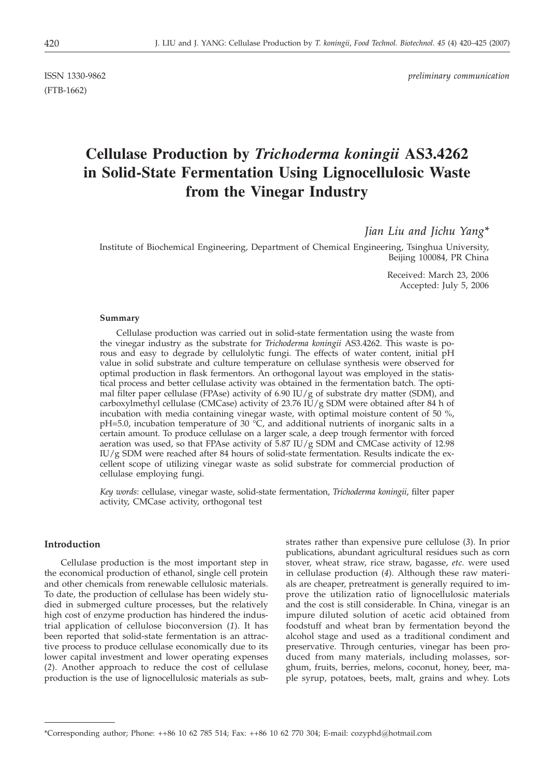(FTB-1662)

ISSN 1330-9862 *preliminary communication*

# **Cellulase Production by** *Trichoderma koningii* **AS3.4262 in Solid-State Fermentation Using Lignocellulosic Waste from the Vinegar Industry**

*Jian Liu and Jichu Yang\**

Institute of Biochemical Engineering, Department of Chemical Engineering, Tsinghua University, Beijing 100084, PR China

> Received: March 23, 2006 Accepted: July 5, 2006

## **Summary**

Cellulase production was carried out in solid-state fermentation using the waste from the vinegar industry as the substrate for *Trichoderma koningii* AS3.4262. This waste is porous and easy to degrade by cellulolytic fungi. The effects of water content, initial pH value in solid substrate and culture temperature on cellulase synthesis were observed for optimal production in flask fermentors. An orthogonal layout was employed in the statistical process and better cellulase activity was obtained in the fermentation batch. The optimal filter paper cellulase (FPAse) activity of 6.90 IU/g of substrate dry matter (SDM), and carboxylmethyl cellulase (CMCase) activity of 23.76 IU/g SDM were obtained after 84 h of incubation with media containing vinegar waste, with optimal moisture content of 50 %, pH=5.0, incubation temperature of 30  $\degree$ C, and additional nutrients of inorganic salts in a certain amount. To produce cellulase on a larger scale, a deep trough fermentor with forced aeration was used, so that FPAse activity of  $\overline{5.87}$  IU/g SDM and CMCase activity of 12.98 IU/g SDM were reached after 84 hours of solid-state fermentation. Results indicate the excellent scope of utilizing vinegar waste as solid substrate for commercial production of cellulase employing fungi.

*Key words*: cellulase, vinegar waste, solid-state fermentation, *Trichoderma koningii*, filter paper activity, CMCase activity, orthogonal test

# **Introduction**

Cellulase production is the most important step in the economical production of ethanol, single cell protein and other chemicals from renewable cellulosic materials. To date, the production of cellulase has been widely studied in submerged culture processes, but the relatively high cost of enzyme production has hindered the industrial application of cellulose bioconversion (*1*). It has been reported that solid-state fermentation is an attractive process to produce cellulase economically due to its lower capital investment and lower operating expenses (*2*). Another approach to reduce the cost of cellulase production is the use of lignocellulosic materials as substrates rather than expensive pure cellulose (*3*). In prior publications, abundant agricultural residues such as corn stover, wheat straw, rice straw, bagasse, *etc*. were used in cellulase production (*4*). Although these raw materials are cheaper, pretreatment is generally required to improve the utilization ratio of lignocellulosic materials and the cost is still considerable. In China, vinegar is an impure diluted solution of acetic acid obtained from foodstuff and wheat bran by fermentation beyond the alcohol stage and used as a traditional condiment and preservative. Through centuries, vinegar has been produced from many materials, including molasses, sorghum, fruits, berries, melons, coconut, honey, beer, maple syrup, potatoes, beets, malt, grains and whey. Lots

<sup>\*</sup>Corresponding author; Phone: ++86 10 62 785 514; Fax: ++86 10 62 770 304; E-mail: cozyphd@hotmail.com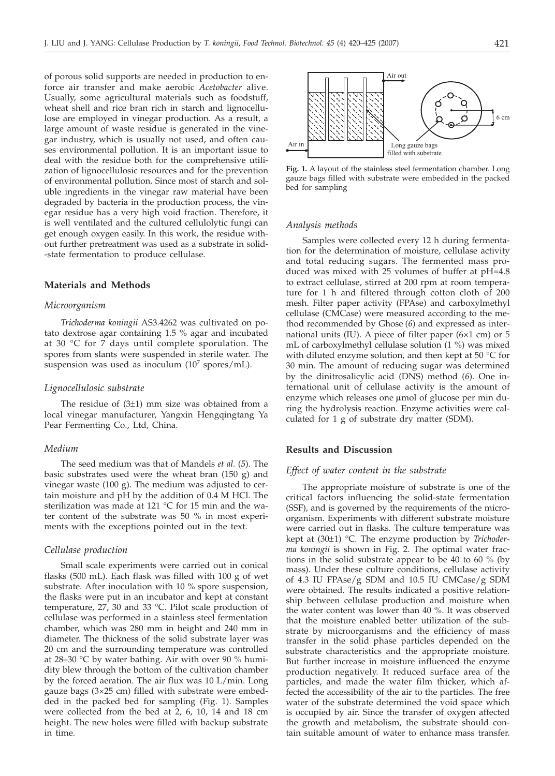of porous solid supports are needed in production to enforce air transfer and make aerobic *Acetobacter* alive. Usually, some agricultural materials such as foodstuff, wheat shell and rice bran rich in starch and lignocellulose are employed in vinegar production. As a result, a large amount of waste residue is generated in the vinegar industry, which is usually not used, and often causes environmental pollution. It is an important issue to deal with the residue both for the comprehensive utilization of lignocellulosic resources and for the prevention of environmental pollution. Since most of starch and soluble ingredients in the vinegar raw material have been degraded by bacteria in the production process, the vinegar residue has a very high void fraction. Therefore, it is well ventilated and the cultured cellulolytic fungi can get enough oxygen easily. In this work, the residue without further pretreatment was used as a substrate in solid- -state fermentation to produce cellulase.

# **Materials and Methods**

#### *Microorganism*

*Trichoderma koningii* AS3.4262 was cultivated on potato dextrose agar containing 1.5 % agar and incubated at 30 °C for 7 days until complete sporulation. The spores from slants were suspended in sterile water. The suspension was used as inoculum  $(10<sup>7</sup>$  spores/mL).

#### *Lignocellulosic substrate*

The residue of  $(3\pm 1)$  mm size was obtained from a local vinegar manufacturer, Yangxin Hengqingtang Ya Pear Fermenting Co., Ltd, China.

#### *Medium*

The seed medium was that of Mandels *et al.* (*5*). The basic substrates used were the wheat bran (150 g) and vinegar waste (100 g). The medium was adjusted to certain moisture and pH by the addition of 0.4 M HCl. The sterilization was made at 121 °C for 15 min and the water content of the substrate was 50 % in most experiments with the exceptions pointed out in the text.

## *Cellulase production*

Small scale experiments were carried out in conical flasks (500 mL). Each flask was filled with 100 g of wet substrate. After inoculation with 10 % spore suspension, the flasks were put in an incubator and kept at constant temperature, 27, 30 and 33 °C. Pilot scale production of cellulase was performed in a stainless steel fermentation chamber, which was 280 mm in height and 240 mm in diameter. The thickness of the solid substrate layer was 20 cm and the surrounding temperature was controlled at 28–30 °C by water bathing. Air with over 90 % humidity blew through the bottom of the cultivation chamber by the forced aeration. The air flux was 10 L/min. Long gauze bags (3×25 cm) filled with substrate were embedded in the packed bed for sampling (Fig. 1). Samples were collected from the bed at 2, 6, 10, 14 and 18 cm height. The new holes were filled with backup substrate in time.



**Fig. 1.** A layout of the stainless steel fermentation chamber. Long gauze bags filled with substrate were embedded in the packed bed for sampling

# *Analysis methods*

Samples were collected every 12 h during fermentation for the determination of moisture, cellulase activity and total reducing sugars. The fermented mass produced was mixed with 25 volumes of buffer at pH=4.8 to extract cellulase, stirred at 200 rpm at room temperature for 1 h and filtered through cotton cloth of 200 mesh. Filter paper activity (FPAse) and carboxylmethyl cellulase (CMCase) were measured according to the method recommended by Ghose (*6*) and expressed as international units (IU). A piece of filter paper (6×1 cm) or 5 mL of carboxylmethyl cellulase solution (1 %) was mixed with diluted enzyme solution, and then kept at 50  $\mathrm{°C}$  for 30 min. The amount of reducing sugar was determined by the dinitrosalicylic acid (DNS) method (*6*). One international unit of cellulase activity is the amount of enzyme which releases one umol of glucose per min during the hydrolysis reaction. Enzyme activities were calculated for 1 g of substrate dry matter (SDM).

## **Results and Discussion**

## *Effect of water content in the substrate*

The appropriate moisture of substrate is one of the critical factors influencing the solid-state fermentation (SSF), and is governed by the requirements of the microorganism. Experiments with different substrate moisture were carried out in flasks. The culture temperature was kept at (30±1) °C. The enzyme production by *Trichoderma koningii* is shown in Fig. 2. The optimal water fractions in the solid substrate appear to be 40 to 60 % (by mass). Under these culture conditions, cellulase activity of 4.3 IU FPAse/g SDM and 10.5 IU CMCase/g SDM were obtained. The results indicated a positive relationship between cellulase production and moisture when the water content was lower than 40 %. It was observed that the moisture enabled better utilization of the substrate by microorganisms and the efficiency of mass transfer in the solid phase particles depended on the substrate characteristics and the appropriate moisture. But further increase in moisture influenced the enzyme production negatively. It reduced surface area of the particles, and made the water film thicker, which affected the accessibility of the air to the particles. The free water of the substrate determined the void space which is occupied by air. Since the transfer of oxygen affected the growth and metabolism, the substrate should contain suitable amount of water to enhance mass transfer.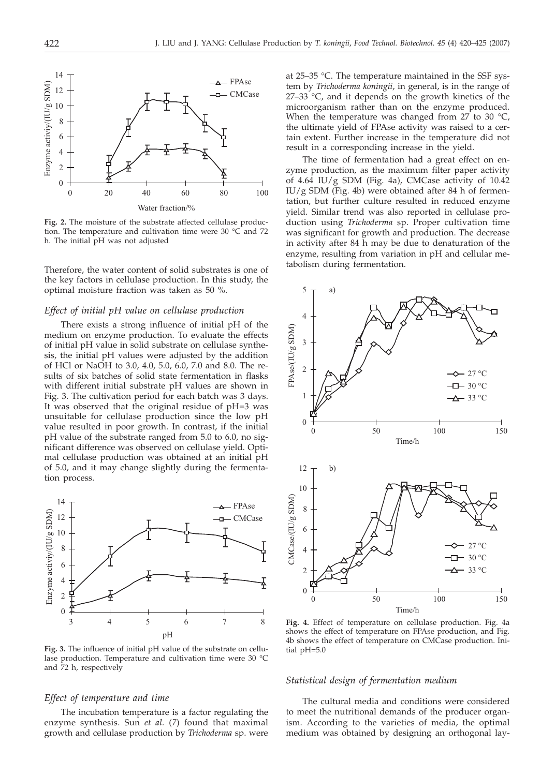

**Fig. 2.** The moisture of the substrate affected cellulase production. The temperature and cultivation time were 30 °C and 72 h. The initial pH was not adjusted

Therefore, the water content of solid substrates is one of the key factors in cellulase production. In this study, the optimal moisture fraction was taken as 50 %.

## *Effect of initial pH value on cellulase production*

There exists a strong influence of initial pH of the medium on enzyme production. To evaluate the effects of initial pH value in solid substrate on cellulase synthesis, the initial pH values were adjusted by the addition of HCl or NaOH to 3.0, 4.0, 5.0, 6.0, 7.0 and 8.0. The results of six batches of solid state fermentation in flasks with different initial substrate pH values are shown in Fig. 3. The cultivation period for each batch was 3 days. It was observed that the original residue of pH=3 was unsuitable for cellulase production since the low pH value resulted in poor growth. In contrast, if the initial pH value of the substrate ranged from 5.0 to 6.0, no significant difference was observed on cellulase yield. Optimal cellulase production was obtained at an initial pH of 5.0, and it may change slightly during the fermentation process.



**Fig. 3.** The influence of initial pH value of the substrate on cellulase production. Temperature and cultivation time were 30 °C and 72 h, respectively

# *Effect of temperature and time*

The incubation temperature is a factor regulating the enzyme synthesis. Sun *et al.* (*7*) found that maximal growth and cellulase production by *Trichoderma* sp. were at 25–35 °C. The temperature maintained in the SSF system by *Trichoderma koningii*, in general, is in the range of  $27-33$  °C, and it depends on the growth kinetics of the microorganism rather than on the enzyme produced. When the temperature was changed from 27 to 30  $^{\circ}$ C, the ultimate yield of FPAse activity was raised to a certain extent. Further increase in the temperature did not result in a corresponding increase in the yield.

The time of fermentation had a great effect on enzyme production, as the maximum filter paper activity of 4.64 IU/g SDM (Fig. 4a), CMCase activity of 10.42 IU/g SDM (Fig. 4b) were obtained after 84 h of fermentation, but further culture resulted in reduced enzyme yield. Similar trend was also reported in cellulase production using *Trichoderma* sp. Proper cultivation time was significant for growth and production. The decrease in activity after 84 h may be due to denaturation of the enzyme, resulting from variation in pH and cellular metabolism during fermentation.



**Fig. 4.** Effect of temperature on cellulase production. Fig. 4a shows the effect of temperature on FPAse production, and Fig. 4b shows the effect of temperature on CMCase production. Initial pH=5.0

# *Statistical design of fermentation medium*

The cultural media and conditions were considered to meet the nutritional demands of the producer organism. According to the varieties of media, the optimal medium was obtained by designing an orthogonal lay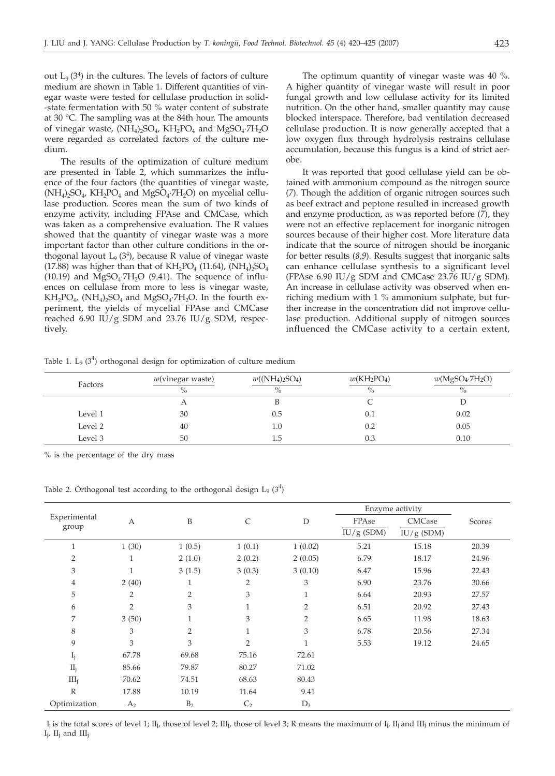out  $L_9$  (3<sup>4</sup>) in the cultures. The levels of factors of culture medium are shown in Table 1. Different quantities of vinegar waste were tested for cellulase production in solid- -state fermentation with 50 % water content of substrate at 30 °C. The sampling was at the 84th hour. The amounts of vinegar waste,  $(NH_4)$ ,  $SO_4$ ,  $KH_2PO_4$  and  $MgSO_4$ .  $7H_2O$ were regarded as correlated factors of the culture medium.

The results of the optimization of culture medium are presented in Table 2, which summarizes the influence of the four factors (the quantities of vinegar waste,  $(NH_4)_2SO_4$ ,  $KH_2PO_4$  and  $MgSO_4$  $TH_2O$ ) on mycelial cellulase production. Scores mean the sum of two kinds of enzyme activity, including FPAse and CMCase, which was taken as a comprehensive evaluation. The R values showed that the quantity of vinegar waste was a more important factor than other culture conditions in the orthogonal layout  $L_9$  (3<sup>4</sup>), because R value of vinegar waste (17.88) was higher than that of  $KH_2PO_4$  (11.64),  $(NH_4)_2SO_4$ (10.19) and  $MgSO<sub>4</sub>·7H<sub>2</sub>O$  (9.41). The sequence of influences on cellulase from more to less is vinegar waste,  $KH_2PO_4$ ,  $(NH_4)_2SO_4$  and  $MgSO_4$ ·7H<sub>2</sub>O. In the fourth experiment, the yields of mycelial FPAse and CMCase reached 6.90 IU/g SDM and 23.76 IU/g SDM, respectively.

The optimum quantity of vinegar waste was 40 %. A higher quantity of vinegar waste will result in poor fungal growth and low cellulase activity for its limited nutrition. On the other hand, smaller quantity may cause blocked interspace. Therefore, bad ventilation decreased cellulase production. It is now generally accepted that a low oxygen flux through hydrolysis restrains cellulase accumulation, because this fungus is a kind of strict aerobe.

It was reported that good cellulase yield can be obtained with ammonium compound as the nitrogen source (*7*). Though the addition of organic nitrogen sources such as beef extract and peptone resulted in increased growth and enzyme production, as was reported before (*7*), they were not an effective replacement for inorganic nitrogen sources because of their higher cost. More literature data indicate that the source of nitrogen should be inorganic for better results (*8,9*). Results suggest that inorganic salts can enhance cellulase synthesis to a significant level (FPAse 6.90 IU/g SDM and CMCase 23.76 IU/g SDM). An increase in cellulase activity was observed when enriching medium with 1 % ammonium sulphate, but further increase in the concentration did not improve cellulase production. Additional supply of nitrogen sources influenced the CMCase activity to a certain extent,

Table 1. L<sub>9</sub>  $(3^4)$  orthogonal design for optimization of culture medium

| Factors | w(vinegar waste)<br>$\%$ | $w({\rm (NH_4})_2{\rm SO}_4)$<br>$\%$ | $w(KH_2PO_4)$<br>$\%$ | $w(MgSO_4·7H_2O)$<br>$\%$ |  |
|---------|--------------------------|---------------------------------------|-----------------------|---------------------------|--|
|         | Α                        |                                       |                       |                           |  |
| Level 1 | 30                       | 0.5                                   | 0.1                   | 0.02                      |  |
| Level 2 | 40                       | LU.                                   | 0.2                   | 0.05                      |  |
| Level 3 | 50                       | ī.5                                   | 0.3                   | 0.10                      |  |

% is the percentage of the dry mass

Table 2. Orthogonal test according to the orthogonal design L<sub>9</sub>  $(3<sup>4</sup>)$ 

|                       |                |                |                |                | Enzyme activity |              |        |
|-----------------------|----------------|----------------|----------------|----------------|-----------------|--------------|--------|
| Experimental<br>group | A              | B              | C              | D              | FPAse           | CMCase       | Scores |
|                       |                |                |                |                | $IU/g$ (SDM)    | $IU/g$ (SDM) |        |
| $\mathbf{1}$          | 1(30)          | 1(0.5)         | 1(0.1)         | 1(0.02)        | 5.21            | 15.18        | 20.39  |
| $\overline{2}$        | 1              | 2(1.0)         | 2(0.2)         | 2(0.05)        | 6.79            | 18.17        | 24.96  |
| 3                     |                | 3(1.5)         | 3(0.3)         | 3(0.10)        | 6.47            | 15.96        | 22.43  |
| $\overline{4}$        | 2(40)          |                | $\overline{2}$ | 3              | 6.90            | 23.76        | 30.66  |
| 5                     | 2              | $\overline{2}$ | 3              | $\mathbf{1}$   | 6.64            | 20.93        | 27.57  |
| 6                     | $\overline{2}$ | 3              | $\mathbf{1}$   | 2              | 6.51            | 20.92        | 27.43  |
| 7                     | 3(50)          | 1              | 3              | $\overline{2}$ | 6.65            | 11.98        | 18.63  |
| 8                     | 3              | $\overline{2}$ | $\mathbf{1}$   | 3              | 6.78            | 20.56        | 27.34  |
| 9                     | 3              | 3              | $\overline{2}$ | $\mathbf{1}$   | 5.53            | 19.12        | 24.65  |
| $I_j$                 | 67.78          | 69.68          | 75.16          | 72.61          |                 |              |        |
| II <sub>j</sub>       | 85.66          | 79.87          | 80.27          | 71.02          |                 |              |        |
| III <sub>i</sub>      | 70.62          | 74.51          | 68.63          | 80.43          |                 |              |        |
| $\mathbb R$           | 17.88          | 10.19          | 11.64          | 9.41           |                 |              |        |
| Optimization          | A <sub>2</sub> | B <sub>2</sub> | C <sub>2</sub> | $D_3$          |                 |              |        |

I<sub>j</sub> is the total scores of level 1; II<sub>j</sub>, those of level 2; III<sub>j</sub>, those of level 3; R means the maximum of I<sub>j</sub>, II<sub>j</sub> and III<sub>j</sub> minus the minimum of  $I_i$ ,  $II_i$  and  $III_i$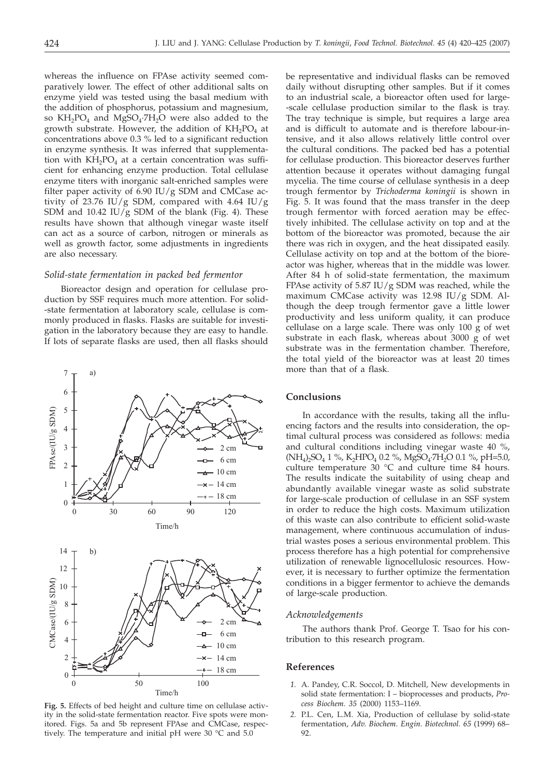whereas the influence on FPAse activity seemed comparatively lower. The effect of other additional salts on enzyme yield was tested using the basal medium with the addition of phosphorus, potassium and magnesium, so  $KH_2PO_4$  and  $MgSO_4·7H_2O$  were also added to the growth substrate. However, the addition of  $KH_2PO_4$  at concentrations above 0.3 % led to a significant reduction in enzyme synthesis. It was inferred that supplementation with  $KH_{2}PO_{4}$  at a certain concentration was sufficient for enhancing enzyme production. Total cellulase enzyme titers with inorganic salt-enriched samples were filter paper activity of 6.90 IU/g SDM and CMCase activity of 23.76 IU/g SDM, compared with 4.64 IU/g SDM and 10.42 IU/g SDM of the blank (Fig. 4). These results have shown that although vinegar waste itself can act as a source of carbon, nitrogen or minerals as well as growth factor, some adjustments in ingredients are also necessary.

# *Solid-state fermentation in packed bed fermentor*

Bioreactor design and operation for cellulase production by SSF requires much more attention. For solid- -state fermentation at laboratory scale, cellulase is commonly produced in flasks. Flasks are suitable for investigation in the laboratory because they are easy to handle. If lots of separate flasks are used, then all flasks should



**Fig. 5.** Effects of bed height and culture time on cellulase activity in the solid-state fermentation reactor. Five spots were monitored. Figs. 5a and 5b represent FPAse and CMCase, respectively. The temperature and initial pH were 30 °C and 5.0

be representative and individual flasks can be removed daily without disrupting other samples. But if it comes to an industrial scale, a bioreactor often used for large- -scale cellulase production similar to the flask is tray. The tray technique is simple, but requires a large area and is difficult to automate and is therefore labour-intensive, and it also allows relatively little control over the cultural conditions. The packed bed has a potential for cellulase production. This bioreactor deserves further attention because it operates without damaging fungal mycelia. The time course of cellulase synthesis in a deep trough fermentor by *Trichoderma koningii* is shown in Fig. 5. It was found that the mass transfer in the deep trough fermentor with forced aeration may be effectively inhibited. The cellulase activity on top and at the bottom of the bioreactor was promoted, because the air there was rich in oxygen, and the heat dissipated easily. Cellulase activity on top and at the bottom of the bioreactor was higher, whereas that in the middle was lower. After 84 h of solid-state fermentation, the maximum FPAse activity of 5.87 IU/g SDM was reached, while the maximum CMCase activity was 12.98 IU/g SDM. Although the deep trough fermentor gave a little lower productivity and less uniform quality, it can produce cellulase on a large scale. There was only 100 g of wet substrate in each flask, whereas about 3000 g of wet substrate was in the fermentation chamber. Therefore, the total yield of the bioreactor was at least 20 times more than that of a flask.

# **Conclusions**

In accordance with the results, taking all the influencing factors and the results into consideration, the optimal cultural process was considered as follows: media and cultural conditions including vinegar waste 40 %, (NH<sub>4</sub>)<sub>2</sub>SO<sub>4</sub> 1 %, K<sub>2</sub>HPO<sub>4</sub> 0.2 %, MgSO<sub>4</sub>·7H<sub>2</sub>O 0.1 %, pH=5.0, culture temperature 30 °C and culture time 84 hours. The results indicate the suitability of using cheap and abundantly available vinegar waste as solid substrate for large-scale production of cellulase in an SSF system in order to reduce the high costs. Maximum utilization of this waste can also contribute to efficient solid-waste management, where continuous accumulation of industrial wastes poses a serious environmental problem. This process therefore has a high potential for comprehensive utilization of renewable lignocellulosic resources. However, it is necessary to further optimize the fermentation conditions in a bigger fermentor to achieve the demands of large-scale production.

## *Acknowledgements*

The authors thank Prof. George T. Tsao for his contribution to this research program.

## **References**

- *1.* A. Pandey, C.R. Soccol, D. Mitchell, New developments in solid state fermentation: I – bioprocesses and products, *Process Biochem. 35* (2000) 1153–1169.
- *2.* P.L. Cen, L.M. Xia, Production of cellulase by solid-state fermentation, *Adv. Biochem. Engin. Biotechnol. 65* (1999) 68– 92.